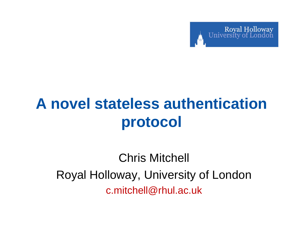

# **A novel stateless authentication protocol**

Chris Mitchell Royal Holloway, University of London c.mitchell@rhul.ac.uk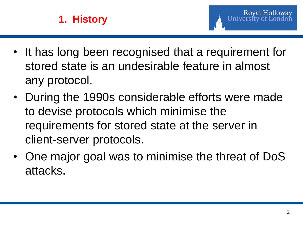

- It has long been recognised that a requirement for stored state is an undesirable feature in almost any protocol.
- During the 1990s considerable efforts were made to devise protocols which minimise the requirements for stored state at the server in client-server protocols.
- One major goal was to minimise the threat of DoS attacks.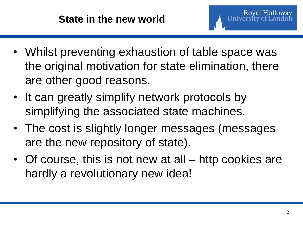- Whilst preventing exhaustion of table space was the original motivation for state elimination, there are other good reasons.
- It can greatly simplify network protocols by simplifying the associated state machines.
- The cost is slightly longer messages (messages are the new repository of state).
- Of course, this is not new at all http cookies are hardly a revolutionary new idea!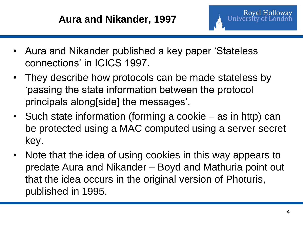- Aura and Nikander published a key paper 'Stateless connections' in ICICS 1997.
- They describe how protocols can be made stateless by 'passing the state information between the protocol principals along[side] the messages'.
- Such state information (forming a cookie as in http) can be protected using a MAC computed using a server secret key.
- Note that the idea of using cookies in this way appears to predate Aura and Nikander – Boyd and Mathuria point out that the idea occurs in the original version of Photuris, published in 1995.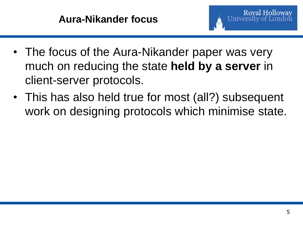- The focus of the Aura-Nikander paper was very much on reducing the state **held by a server** in client-server protocols.
- This has also held true for most (all?) subsequent work on designing protocols which minimise state.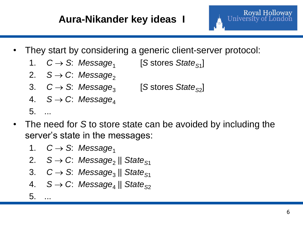

- They start by considering a generic client-server protocol:
	- 1. C→ S: Message<sub>1</sub> [S stores State<sub>S1</sub>]
	- 2.  $S \rightarrow C$ : Message<sub>2</sub>
	- 3. C→ S: Message<sub>3</sub> [S stores *State*<sub>S2</sub>]
	- 4.  $S \rightarrow C$ : Message<sub>4</sub>
	- 5. ...
- The need for *S* to store state can be avoided by including the server's state in the messages:
	- 1.  $C \rightarrow S$ : Message<sub>1</sub>
	- 2. *S → C*: *Message*<sub>2</sub> || *State<sub>S1</sub>*
	- 3. C→ S: Message<sub>3</sub> || State<sub>S1</sub>
	- 4. *S C*: *Message*<sup>4</sup> || *State<sup>S</sup>*<sup>2</sup>
	- $5.$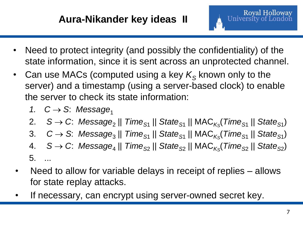- Need to protect integrity (and possibly the confidentiality) of the state information, since it is sent across an unprotected channel.
- Can use MACs (computed using a key  $K_S$  known only to the server) and a timestamp (using a server-based clock) to enable the server to check its state information:
	- 1.  $C \rightarrow S$ : Message<sub>1</sub>
	- 2. S → C: Message<sub>2</sub> || *Time*<sub>S1</sub> || State<sub>S1</sub> || MAC<sub>Ks</sub>(Time<sub>S1</sub> || State<sub>S1</sub>)
	- 3. *C* → *S*: Message<sub>3</sub> || *Time<sub>S1</sub>* || *State<sub>S1</sub>* || MAC<sub>*Ks</sub>*(*Time<sub>S1</sub>* || *State<sub>S1</sub>)*</sub>
	- 4. *S C*: *Message*<sup>4</sup> || *Time<sup>S</sup>*<sup>2</sup> || *State<sup>S</sup>*<sup>2</sup> || MAC*<sup>K</sup><sup>S</sup>* (*Time<sup>S</sup>*<sup>2</sup> || *State<sup>S</sup>*<sup>2</sup> ) 5. ...
- Need to allow for variable delays in receipt of replies allows for state replay attacks.
- If necessary, can encrypt using server-owned secret key.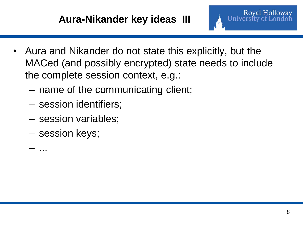#### **Aura-Nikander key ideas III**



- MACed (and possibly encrypted) state needs to include the complete session context, e.g.:
	- name of the communicating client;
	- session identifiers;
	- session variables;
	- session keys;

– ...

Royal Holloway<br>University of London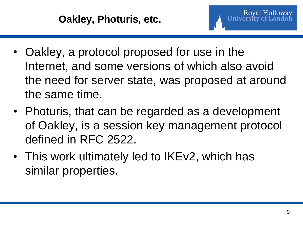- Oakley, a protocol proposed for use in the Internet, and some versions of which also avoid the need for server state, was proposed at around the same time.
- Photuris, that can be regarded as a development of Oakley, is a session key management protocol defined in RFC 2522.
- This work ultimately led to IKEv2, which has similar properties.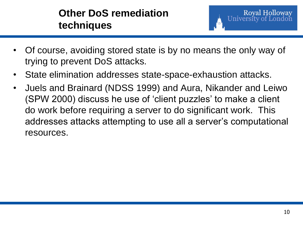### **Other DoS remediation techniques**

- Of course, avoiding stored state is by no means the only way of trying to prevent DoS attacks.
- State elimination addresses state-space-exhaustion attacks.
- Juels and Brainard (NDSS 1999) and Aura, Nikander and Leiwo (SPW 2000) discuss he use of 'client puzzles' to make a client do work before requiring a server to do significant work. This addresses attacks attempting to use all a server's computational resources.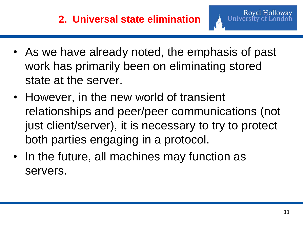- As we have already noted, the emphasis of past work has primarily been on eliminating stored state at the server.
- However, in the new world of transient relationships and peer/peer communications (not just client/server), it is necessary to try to protect both parties engaging in a protocol.
- In the future, all machines may function as servers.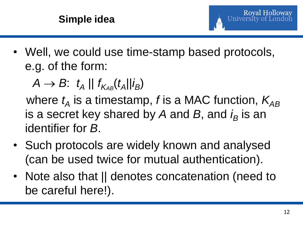

• Well, we could use time-stamp based protocols, e.g. of the form:

 $A \rightarrow B$ :  $t_A \parallel f_{K_{AB}}(t_A \parallel i_B)$ 

where  $t_{\sf A}$  is a timestamp, *f* is a MAC function,  $\mathcal{K}_{\sf AB}$ is a secret key shared by A and B, and  $i_B$  is an identifier for *B*.

- Such protocols are widely known and analysed (can be used twice for mutual authentication).
- Note also that II denotes concatenation (need to be careful here!).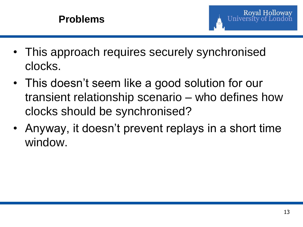

- This approach requires securely synchronised clocks.
- This doesn't seem like a good solution for our transient relationship scenario – who defines how clocks should be synchronised?
- Anyway, it doesn't prevent replays in a short time window.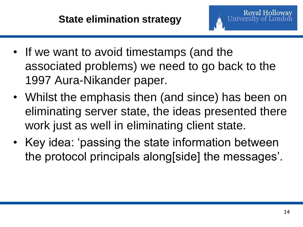- If we want to avoid timestamps (and the associated problems) we need to go back to the 1997 Aura-Nikander paper.
- Whilst the emphasis then (and since) has been on eliminating server state, the ideas presented there work just as well in eliminating client state.
- Key idea: 'passing the state information between the protocol principals along[side] the messages'.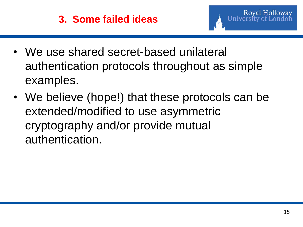

- We use shared secret-based unilateral authentication protocols throughout as simple examples.
- We believe (hope!) that these protocols can be extended/modified to use asymmetric cryptography and/or provide mutual authentication.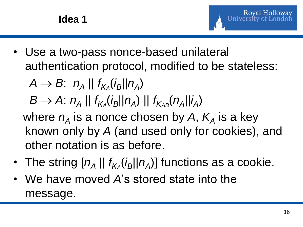

• Use a two-pass nonce-based unilateral authentication protocol, modified to be stateless:

 $A \rightarrow B$ :  $n_A \parallel f_{K_A}(i_B \parallel n_A)$ 

 $B \to A: n_A || f_{K_A}(i_B || n_A) || f_{K_{AB}}(n_A || i_A)$ 

where  $n_A$  is a nonce chosen by A,  $K_A$  is a key known only by *A* (and used only for cookies), and other notation is as before.

- The string  $[n_A || f_{K_A}(i_B || n_A)]$  functions as a cookie.
- We have moved *A*'s stored state into the message.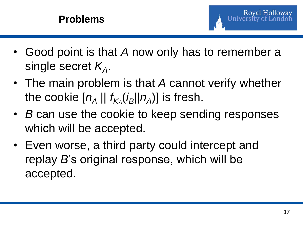

- Good point is that *A* now only has to remember a single secret *K<sup>A</sup>* .
- The main problem is that *A* cannot verify whether the cookie  $[n_A || f_{K_A}(i_B || n_A)]$  is fresh.
- *B* can use the cookie to keep sending responses which will be accepted.
- Even worse, a third party could intercept and replay *B*'s original response, which will be accepted.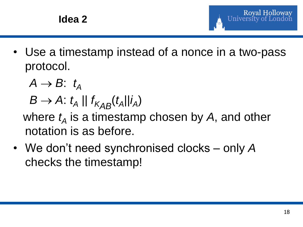

- Use a timestamp instead of a nonce in a two-pass protocol.
	- $A \rightarrow B$ :  $t_A$  $B \rightarrow A$ :  $t_A \parallel f_{K_{AB}}(t_A \parallel i_A)$

where  $t_A$  is a timestamp chosen by  $A$ , and other notation is as before.

• We don't need synchronised clocks – only *A* checks the timestamp!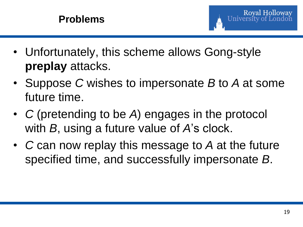

- Unfortunately, this scheme allows Gong-style **preplay** attacks.
- Suppose *C* wishes to impersonate *B* to *A* at some future time.
- *C* (pretending to be *A*) engages in the protocol with *B*, using a future value of *A*'s clock.
- *C* can now replay this message to *A* at the future specified time, and successfully impersonate *B*.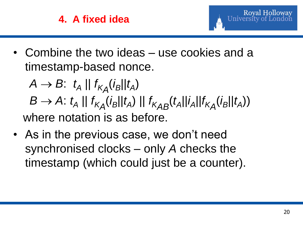## **4. A fixed idea**



• Combine the two ideas – use cookies and a timestamp-based nonce.

 $A \rightarrow B: t_A \mid |f_{K_A}(i_B||t_A)$  $B \rightarrow A$ :  $t_A \parallel f_{K_A}(i_B || t_A) \parallel f_{K_{AB}}(t_A || i_A || f_{K_A}(i_B || t_A))$ where notation is as before.

• As in the previous case, we don't need synchronised clocks – only *A* checks the timestamp (which could just be a counter).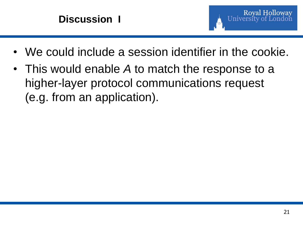### **Discussion I**



- We could include a session identifier in the cookie.
- This would enable *A* to match the response to a higher-layer protocol communications request (e.g. from an application).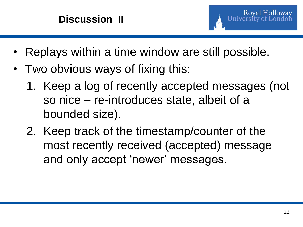

- Replays within a time window are still possible.
- Two obvious ways of fixing this:
	- 1. Keep a log of recently accepted messages (not so nice – re-introduces state, albeit of a bounded size).
	- 2. Keep track of the timestamp/counter of the most recently received (accepted) message and only accept 'newer' messages.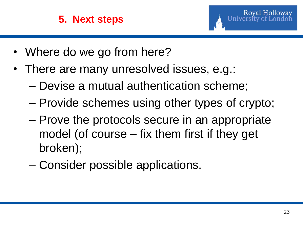

- Where do we go from here?
- There are many unresolved issues, e.g.:
	- Devise a mutual authentication scheme;
	- Provide schemes using other types of crypto;
	- Prove the protocols secure in an appropriate model (of course – fix them first if they get broken);
	- Consider possible applications.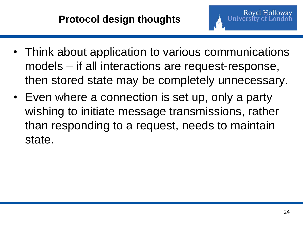- Think about application to various communications models – if all interactions are request-response, then stored state may be completely unnecessary.
- Even where a connection is set up, only a party wishing to initiate message transmissions, rather than responding to a request, needs to maintain state.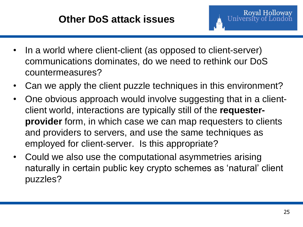- In a world where client-client (as opposed to client-server) communications dominates, do we need to rethink our DoS countermeasures?
- Can we apply the client puzzle techniques in this environment?
- One obvious approach would involve suggesting that in a clientclient world, interactions are typically still of the **requesterprovider** form, in which case we can map requesters to clients and providers to servers, and use the same techniques as employed for client-server. Is this appropriate?
- Could we also use the computational asymmetries arising naturally in certain public key crypto schemes as 'natural' client puzzles?